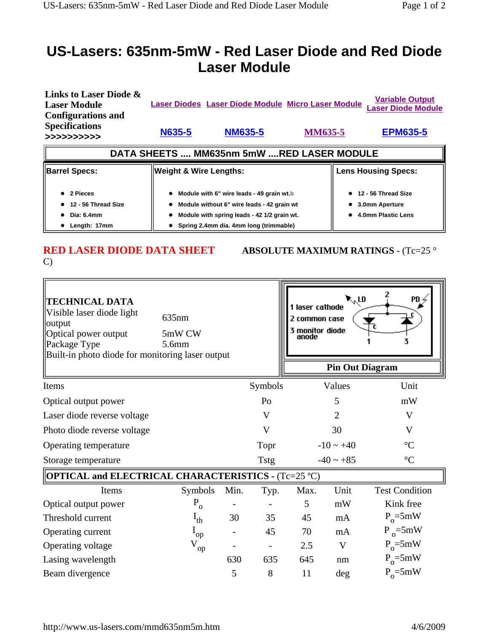## **US-Lasers: 635nm-5mW - Red Laser Diode and Red Diode Laser Module**

| Links to Laser Diode &<br><b>Laser Module</b><br><b>Configurations and</b> |                                   | Laser Diodes Laser Diode Module Micro Laser Module | <b>Variable Output</b><br><b>Laser Diode Module</b> |                 |  |  |  |  |
|----------------------------------------------------------------------------|-----------------------------------|----------------------------------------------------|-----------------------------------------------------|-----------------|--|--|--|--|
| <b>Specifications</b><br>>>>>>>>>>>>                                       | <b>N635-5</b>                     | <b>NM635-5</b>                                     | <b>MM635-5</b>                                      | <b>EPM635-5</b> |  |  |  |  |
| DATA SHEETS  MM635nm 5mW RED LASER MODULE                                  |                                   |                                                    |                                                     |                 |  |  |  |  |
|                                                                            |                                   |                                                    | <b>Lens Housing Specs:</b>                          |                 |  |  |  |  |
| <b>Barrel Specs:</b>                                                       | <b>Weight &amp; Wire Lengths:</b> |                                                    |                                                     |                 |  |  |  |  |

## C)

**RED LASER DIODE DATA SHEET ABSOLUTE MAXIMUM RATINGS -**  $(Tc=25°$ 

| <b>TECHNICAL DATA</b><br>Visible laser diode light<br>output<br>Optical power output<br>Package Type<br>Built-in photo diode for monitoring laser output | 635nm<br>5mW CW<br>5.6 <sub>mm</sub> |      |             | 1 laser cathode<br>2 common case<br>3 monitor diode<br>anode | र्∿rd                  | $PD \nless$           |
|----------------------------------------------------------------------------------------------------------------------------------------------------------|--------------------------------------|------|-------------|--------------------------------------------------------------|------------------------|-----------------------|
|                                                                                                                                                          |                                      |      |             |                                                              | <b>Pin Out Diagram</b> |                       |
| Items                                                                                                                                                    |                                      |      | Symbols     |                                                              | Values                 | Unit                  |
| Optical output power                                                                                                                                     |                                      |      | Po          |                                                              | 5                      | mW                    |
| Laser diode reverse voltage                                                                                                                              |                                      |      | V           |                                                              | $\overline{2}$         | V                     |
| Photo diode reverse voltage                                                                                                                              |                                      |      | V           |                                                              | 30                     | V                     |
| Operating temperature                                                                                                                                    |                                      |      | Topr        |                                                              | $-10 \sim +40$         | $\rm ^{\circ}C$       |
| Storage temperature                                                                                                                                      |                                      |      | <b>Tstg</b> | $-40 \sim +85$<br>$\rm ^{\circ}C$                            |                        |                       |
| <b>OPTICAL and ELECTRICAL CHARACTERISTICS - (Tc=25 °C)</b>                                                                                               |                                      |      |             |                                                              |                        |                       |
| Items                                                                                                                                                    | Symbols                              | Min. | Typ.        | Max.                                                         | Unit                   | <b>Test Condition</b> |
| Optical output power                                                                                                                                     | $P_{o}$                              |      |             | 5                                                            | mW                     | Kink free             |
| Threshold current                                                                                                                                        | $I_{th}$                             | 30   | 35          | 45                                                           | mA                     | $P_0 = 5mW$           |
| Operating current                                                                                                                                        | $I_{op}$                             |      | 45          | 70                                                           | mA                     | $P_{o} = 5mW$         |
| Operating voltage                                                                                                                                        | $\rm V_{op}$                         |      |             | 2.5                                                          | V                      | $P_0 = 5mW$           |
| Lasing wavelength                                                                                                                                        |                                      | 630  | 635         | 645                                                          | nm                     | $P_0 = 5mW$           |
| Beam divergence                                                                                                                                          |                                      | 5    | 8           | 11                                                           | deg                    | $P_0 = 5mW$           |